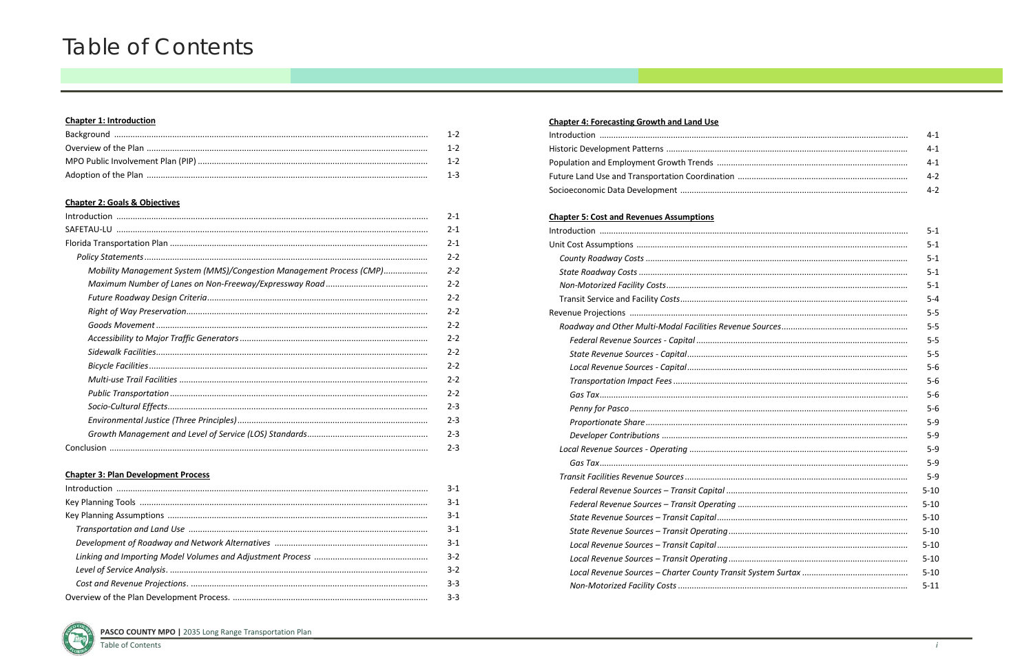## **Chapter 1: Introduction**

| $1 - 2$  |
|----------|
| $-1-2$   |
|          |
| $-1 - 3$ |

### **Chapter 2: Goals & Objectives**

|                                                                      | $2 - 1$ |
|----------------------------------------------------------------------|---------|
|                                                                      | $2 - 1$ |
|                                                                      | $2 - 1$ |
|                                                                      | $2 - 2$ |
| Mobility Management System (MMS)/Congestion Management Process (CMP) | $2 - 2$ |
|                                                                      | $2 - 2$ |
|                                                                      | $2 - 2$ |
|                                                                      | $2 - 2$ |
|                                                                      | $2 - 2$ |
|                                                                      | $2 - 2$ |
|                                                                      | $2 - 2$ |
|                                                                      | $2 - 2$ |
|                                                                      | $2 - 2$ |
|                                                                      | $2 - 2$ |
|                                                                      | $2 - 3$ |
|                                                                      | $2 - 3$ |
|                                                                      | $2 - 3$ |
|                                                                      | $2 - 3$ |

#### **Chapter 3: Plan Development Process**

| $3-1$   |
|---------|
| $3 - 1$ |
| $3 - 1$ |
| $3 - 1$ |
| $3 - 1$ |
| $3-2$   |
| $3-2$   |
| $3-3$   |
| $3-3$   |

# **Chapter 4: Forecasting Growth and Land Use**

| Population and Employment Growth Trends         |
|-------------------------------------------------|
| Future Land Use and Transportation Coordination |
|                                                 |
|                                                 |

#### **Chapter 5: Cost and Revenues Assumptions**

| Roadway and Other Multi-Modal Facilities Revenue So |
|-----------------------------------------------------|
| Federal Revenue Sources - Capital                   |
|                                                     |
|                                                     |
|                                                     |
|                                                     |
|                                                     |
|                                                     |
|                                                     |
| Local Revenue Sources - Operating                   |
|                                                     |
|                                                     |
| Federal Revenue Sources - Transit Capital           |
| Federal Revenue Sources - Transit Operating         |
| State Revenue Sources - Transit Capital             |
| State Revenue Sources - Transit Operating           |
| Local Revenue Sources - Transit Capital             |
| Local Revenue Sources - Transit Operating           |
| Local Revenue Sources - Charter County Transit Syst |
|                                                     |
|                                                     |



**PASCO COUNTY MPO | 2035 Long Range Transportation Plan** 

| 4-1     |
|---------|
| $4 - 1$ |
| $4 - 1$ |
| $4-2$   |
| $4 - 2$ |

| 5-1      |
|----------|
| $5 - 1$  |
| $5 - 1$  |
| $5 - 1$  |
| $5 - 1$  |
| $5 - 4$  |
| $5-5$    |
| $5-5$    |
| $5 - 5$  |
| $5-5$    |
| $5-6$    |
| $5-6$    |
| $5-6$    |
| $5-6$    |
| $5-9$    |
| $5-9$    |
| $5-9$    |
| $5-9$    |
| $5-9$    |
| $5 - 10$ |
| $5 - 10$ |
| $5 - 10$ |
| $5 - 10$ |
| $5 - 10$ |
| $5 - 10$ |
| $5 - 10$ |
| $5 - 11$ |
|          |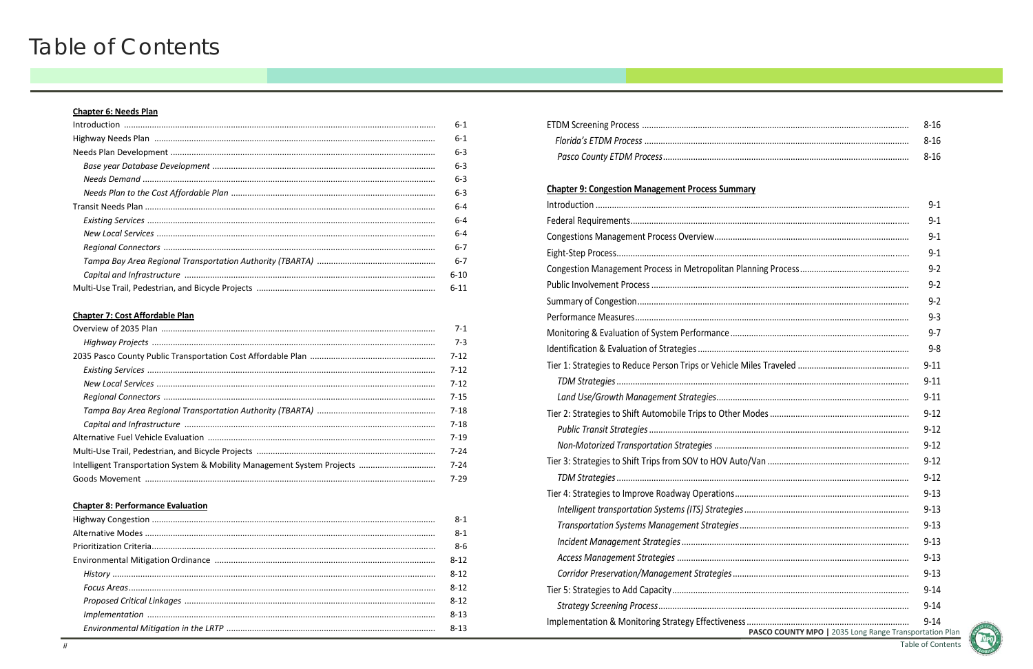# **Chapter 6: Needs Plan**

|  | $6-1$    |
|--|----------|
|  |          |
|  | $6 - 3$  |
|  | $6 - 3$  |
|  | $6 - 3$  |
|  | $6 - 3$  |
|  | 6-4      |
|  | 6-4      |
|  | 6-4      |
|  | $6-7$    |
|  | $6 - 7$  |
|  | $6-10$   |
|  | $6 - 11$ |

# **Chapter 7: Cost Affordable Plan**

| $7 - 1$  |
|----------|
| $7 - 3$  |
| $7 - 12$ |
| $7 - 12$ |
| $7 - 12$ |
| $7 - 15$ |
| $7-18$   |
| $7-18$   |
| $7 - 19$ |
| $7 - 24$ |
| $7 - 24$ |
| 7-29     |

# **Chapter 8: Performance Evaluation**

| $8 - 1$  |
|----------|
| $8 - 1$  |
| $8-6$    |
| $8 - 12$ |
| $8 - 12$ |
| $8 - 12$ |
| $8 - 12$ |
| $8 - 13$ |
| $8 - 13$ |

| 8-16  |
|-------|
| -8-16 |
| 8-16  |

| <b>Chapter 9: Congestion Management Process Summary</b> |          |
|---------------------------------------------------------|----------|
|                                                         | $9 - 1$  |
|                                                         | $9 - 1$  |
|                                                         | $9 - 1$  |
|                                                         | $9 - 1$  |
|                                                         | $9 - 2$  |
|                                                         | $9 - 2$  |
|                                                         | $9 - 2$  |
|                                                         | $9 - 3$  |
|                                                         | $9 - 7$  |
|                                                         | $9 - 8$  |
|                                                         | $9 - 11$ |
|                                                         | $9 - 11$ |
|                                                         | $9 - 11$ |
|                                                         | $9 - 12$ |
|                                                         | $9 - 12$ |
|                                                         | $9 - 12$ |
|                                                         | $9 - 12$ |
|                                                         | $9 - 12$ |
|                                                         | $9 - 13$ |
|                                                         | $9 - 13$ |
|                                                         | $9 - 13$ |
|                                                         | $9 - 13$ |
|                                                         | $9 - 13$ |
|                                                         | $9 - 13$ |
|                                                         | $9 - 14$ |
|                                                         | $9 - 14$ |
| PASCO COUNTY MPO   2035 Long Range Transportation       | $9 - 14$ |



Table of Contents

⊢Plar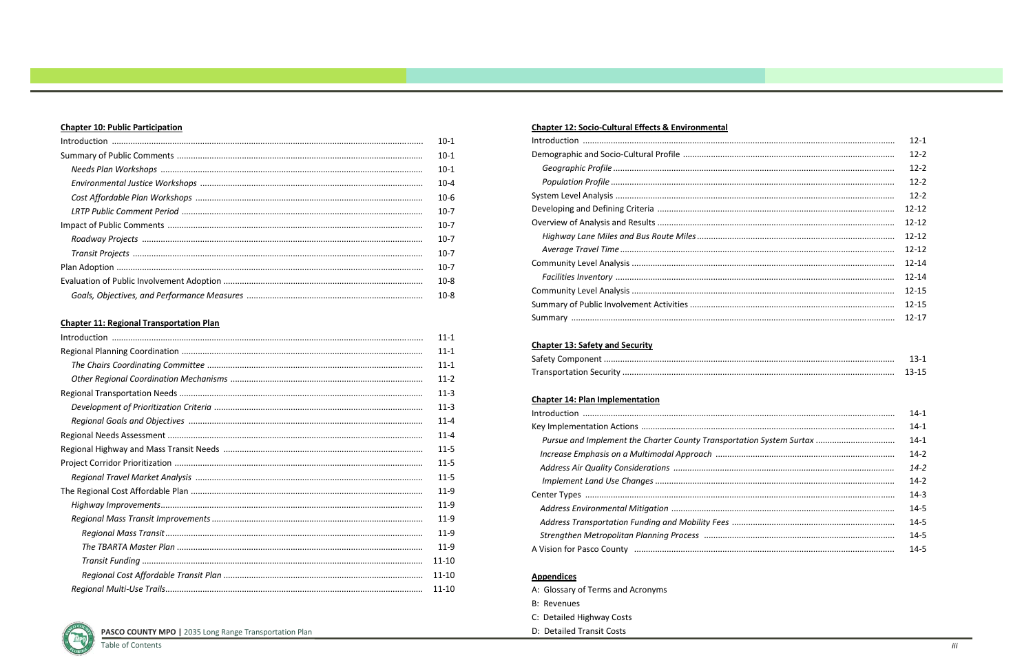## **Chapter 10: Public Participation**

| $10-1$   |
|----------|
| $10-1$   |
| $10-1$   |
| $10 - 4$ |
| $10 - 6$ |
| $10-7$   |
| $10 - 7$ |
| $10 - 7$ |
| $10-7$   |
| $10-7$   |
| $10 - 8$ |
| $10 - 8$ |

#### **Chapter 11: Regional Transportation Plan**

|  | $11 - 1$  |
|--|-----------|
|  | $11 - 1$  |
|  | $11 - 1$  |
|  | $11 - 2$  |
|  | $11-3$    |
|  | $11-3$    |
|  | $11 - 4$  |
|  | $11 - 4$  |
|  | $11 - 5$  |
|  | $11 - 5$  |
|  | $11 - 5$  |
|  |           |
|  | $11-9$    |
|  | $11-9$    |
|  | $11-9$    |
|  | $11-9$    |
|  | $11 - 10$ |
|  | $11 - 10$ |
|  | $11 - 10$ |

PASCO COUNTY MPO | 2035 Long Range Transportation Plan

### **Chapter 12: Socio-Cultural Effects & Environmental**

| Summary of Public Involvement Activities |
|------------------------------------------|
|                                          |

## **Chapter 13: Safety and Security**

### **Chapter 14: Plan Implementation**

| Pursue and Implement the Charter County Transportation . |
|----------------------------------------------------------|
| Increase Emphasis on a Multimodal Approach               |
|                                                          |
|                                                          |
|                                                          |
|                                                          |
| Address Transportation Funding and Mobility Fees         |
| Strengthen Metropolitan Planning Process                 |
|                                                          |

#### **Appendices**

A: Glossary of Terms and Acronyms **B: Revenues** C: Detailed Highway Costs D: Detailed Transit Costs

| $12 - 1$  |
|-----------|
| $12 - 2$  |
| $12 - 2$  |
| $12 - 2$  |
| $12 - 2$  |
| $12 - 12$ |
| $12 - 12$ |
| 12-12     |
| $12 - 12$ |
| $12 - 14$ |
| $12 - 14$ |
| $12 - 15$ |
| $12 - 15$ |
| $12 - 17$ |
|           |

| $14-1$   |
|----------|
| $14-1$   |
| $14-1$   |
| $14-2$   |
| $14 - 2$ |
| $14-2$   |
| $14 - 3$ |
| $14 - 5$ |
| $14 - 5$ |
| $14 - 5$ |
| $14 - 5$ |
|          |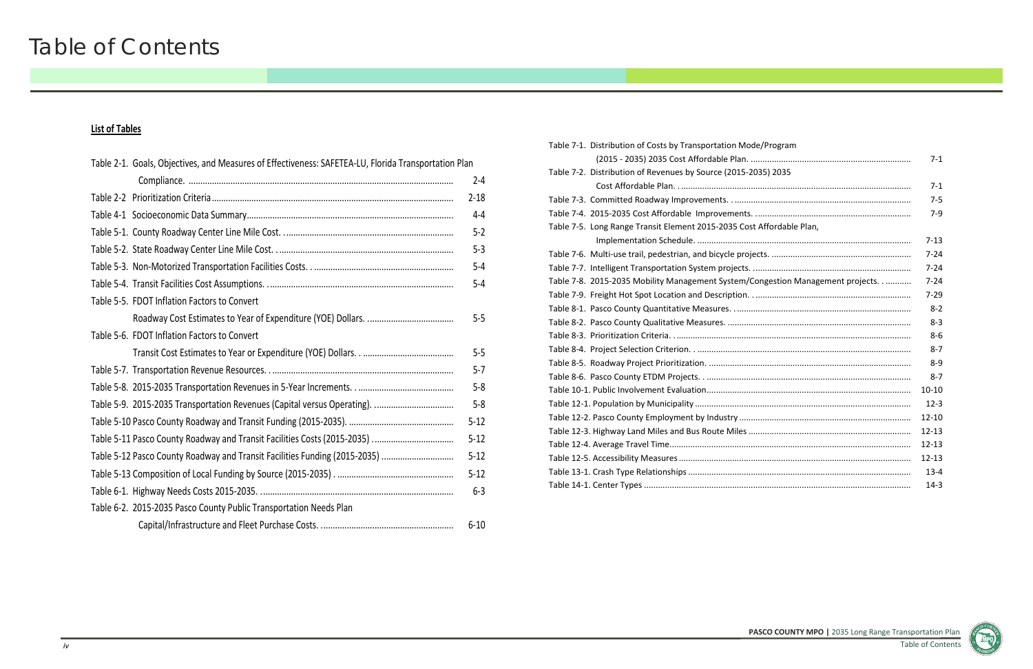**PASCO COUNTY MPO |** 2035 Long Range Transportation Plan Table of Contents



# **List of Tables**

| Table 2-1. Goals, Objectives, and Measures of Effectiveness: SAFETEA-LU, Florida Transportation Plan |          |
|------------------------------------------------------------------------------------------------------|----------|
|                                                                                                      | $2 - 4$  |
|                                                                                                      | $2 - 18$ |
|                                                                                                      | $4 - 4$  |
|                                                                                                      | $5 - 2$  |
|                                                                                                      | $5 - 3$  |
|                                                                                                      | $5-4$    |
|                                                                                                      | $5 - 4$  |
| Table 5-5. FDOT Inflation Factors to Convert                                                         |          |
|                                                                                                      | $5 - 5$  |
| Table 5-6. FDOT Inflation Factors to Convert                                                         |          |
|                                                                                                      | $5-5$    |
|                                                                                                      | $5 - 7$  |
|                                                                                                      | $5-8$    |
|                                                                                                      | $5-8$    |
|                                                                                                      | $5 - 12$ |
|                                                                                                      | $5 - 12$ |
| Table 5-12 Pasco County Roadway and Transit Facilities Funding (2015-2035)                           | $5 - 12$ |
|                                                                                                      | $5 - 12$ |
|                                                                                                      | $6 - 3$  |
| Table 6-2. 2015-2035 Pasco County Public Transportation Needs Plan                                   |          |
|                                                                                                      | $6 - 10$ |

|                                                                    | $7 - 1$   |
|--------------------------------------------------------------------|-----------|
| istribution of Revenues by Source (2015-2035) 2035                 |           |
|                                                                    | $7 - 1$   |
|                                                                    | $7 - 5$   |
|                                                                    | $7 - 9$   |
| ong Range Transit Element 2015-2035 Cost Affordable Plan,          |           |
|                                                                    | $7 - 13$  |
|                                                                    | $7 - 24$  |
|                                                                    | $7 - 24$  |
| 015-2035 Mobility Management System/Congestion Management projects | $7 - 24$  |
|                                                                    | $7 - 29$  |
|                                                                    | $8 - 2$   |
|                                                                    | $8 - 3$   |
|                                                                    | $8 - 6$   |
|                                                                    | $8 - 7$   |
|                                                                    | $8 - 9$   |
|                                                                    | $8 - 7$   |
|                                                                    | $10 - 10$ |
|                                                                    | $12 - 3$  |
|                                                                    | $12 - 10$ |
|                                                                    | $12 - 13$ |
|                                                                    | $12 - 13$ |
|                                                                    | $12 - 13$ |
|                                                                    | $13 - 4$  |
|                                                                    | $14-3$    |
|                                                                    |           |

Table 7‐1. Distribution of Costs by Transportation Mode/Program (2015 - 2035) 2035 Cost Affordable Plan. .... Table 7‐2. Distribution of Revenues by Source (2015‐2035) 2035 Table 7‐3. Committed Roadway Improvements. . ............................................................................ 7‐5 Table 7‐4. 2015‐2035 Cost Affordable Improvements. ................................................................... 7‐9 Table 7‐5. Long Range Transit Element 2015‐2035 Cost Affordable Plan, Implementation Schedule. ............................ Table 7‐6. Multi‐use trail, pedestrian, and bicycle projects. ............................................................ 7‐24 Table 7‐7. Intelligent Transportation System projects. .................................................................... 7‐24 Table 7‐8. 2015‐2035 Mobility Management System/Congestion Management projects. . ........... 7‐24 Table 7‐9. Freight Hot Spot Location and Description. . ................................................................... 7‐29 Table 8‐1. Pasco County Quantitative Measures. ............................................................................ 8‐2 Table 8‐2. Pasco County Qualitative Measures. ............................................................................... 8‐3 Table 8‐3. Prioritization Criteria. ...................................................................................................... 8‐6 Table 8‐4. Project Selection Criterion. . ............................................................................................ 8‐7 Table 8‐5. Roadway Project Prioritization. ....................................................................................... 8‐9 Table 8‐6. Pasco County ETDM Projects. . ........................................................................................ 8‐7 Table 10‐1. Public Involvement Evaluation........................................................................................ 10‐10Table 12‐1. Population by Municipality ............................................................................................. 12‐3 Table 12‐2. Pasco County Employment by Industry .......................................................................... 12‐10 Table 12‐3. Highway Land Miles and Bus Route Miles ...................................................................... 12‐13 Table 12‐4. Average Travel Time........................................................................................................ 12‐13 Table 12‐5. Accessibility Measures .................................................................................................... 12‐13 Table 13‐1. Crash Type Relationships ................................................................................................ 13‐4 Table 14‐1. Center Types ................................................................................................................... 14‐3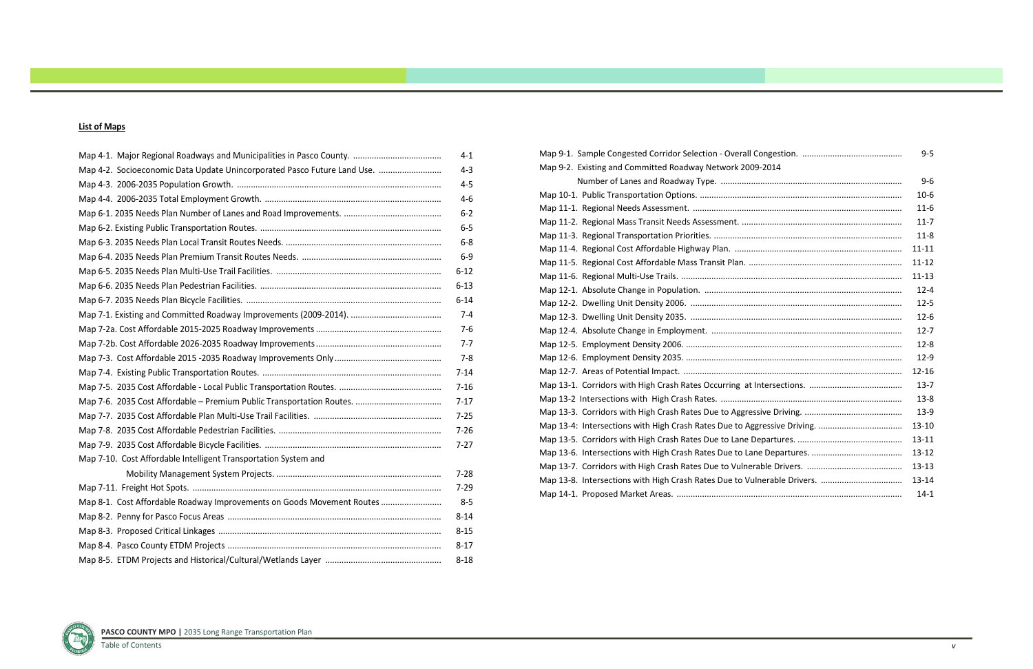#### **List of Maps**

|                                                                          | $4 - 1$  |
|--------------------------------------------------------------------------|----------|
|                                                                          |          |
| Map 4-2. Socioeconomic Data Update Unincorporated Pasco Future Land Use. | $4 - 3$  |
|                                                                          | $4 - 5$  |
|                                                                          | $4 - 6$  |
|                                                                          | $6-2$    |
|                                                                          | $6 - 5$  |
|                                                                          | $6 - 8$  |
|                                                                          | $6-9$    |
|                                                                          | $6 - 12$ |
|                                                                          | $6 - 13$ |
|                                                                          | $6 - 14$ |
|                                                                          | $7 - 4$  |
|                                                                          | $7 - 6$  |
|                                                                          | $7 - 7$  |
|                                                                          | $7 - 8$  |
|                                                                          | $7 - 14$ |
|                                                                          | $7 - 16$ |
|                                                                          | $7 - 17$ |
|                                                                          | $7 - 25$ |
|                                                                          | $7 - 26$ |
|                                                                          | $7 - 27$ |
| Map 7-10. Cost Affordable Intelligent Transportation System and          |          |
|                                                                          | $7 - 28$ |
|                                                                          | $7 - 29$ |
| Map 8-1. Cost Affordable Roadway Improvements on Goods Movement Routes   | $8 - 5$  |
|                                                                          | $8 - 14$ |
|                                                                          | $8 - 15$ |
|                                                                          | $8 - 17$ |
|                                                                          | $8 - 18$ |

|                                                           | $9 - 5$   |
|-----------------------------------------------------------|-----------|
| Map 9-2. Existing and Committed Roadway Network 2009-2014 |           |
|                                                           | $9-6$     |
|                                                           | $10-6$    |
|                                                           | $11 - 6$  |
|                                                           | $11 - 7$  |
|                                                           | $11 - 8$  |
|                                                           | $11 - 11$ |
|                                                           | 11-12     |
|                                                           | $11 - 13$ |
|                                                           | $12 - 4$  |
|                                                           | $12 - 5$  |
|                                                           | $12 - 6$  |
|                                                           | $12 - 7$  |
|                                                           | $12 - 8$  |
|                                                           | $12-9$    |
|                                                           | $12 - 16$ |
|                                                           | $13 - 7$  |
|                                                           | $13 - 8$  |
|                                                           | 13-9      |
|                                                           | $13 - 10$ |
|                                                           | $13 - 11$ |
|                                                           | $13 - 12$ |
|                                                           | $13 - 13$ |
|                                                           | 13-14     |
|                                                           | $14 - 1$  |

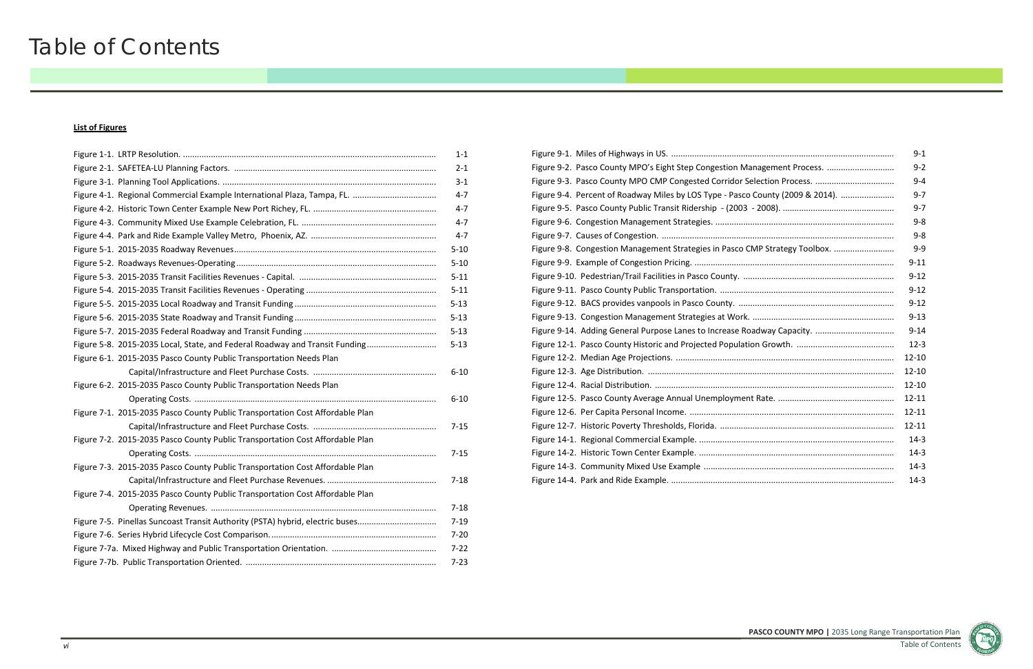**PASCO COUNTY MPO |** 2035 Long Range Transportation Plan

Table of Contents

# Table of Contents

#### **List of Figures**

|                                                                               | $1 - 1$  |
|-------------------------------------------------------------------------------|----------|
|                                                                               | $2 - 1$  |
|                                                                               | $3 - 1$  |
|                                                                               | $4 - 7$  |
|                                                                               | $4 - 7$  |
|                                                                               | $4 - 7$  |
|                                                                               | $4 - 7$  |
|                                                                               | $5 - 10$ |
|                                                                               | $5 - 10$ |
|                                                                               | $5 - 11$ |
|                                                                               | $5 - 11$ |
|                                                                               | $5 - 13$ |
|                                                                               | $5 - 13$ |
|                                                                               | $5 - 13$ |
| Figure 5-8. 2015-2035 Local, State, and Federal Roadway and Transit Funding   | $5 - 13$ |
| Figure 6-1. 2015-2035 Pasco County Public Transportation Needs Plan           |          |
|                                                                               | $6 - 10$ |
| Figure 6-2. 2015-2035 Pasco County Public Transportation Needs Plan           |          |
|                                                                               | $6 - 10$ |
| Figure 7-1. 2015-2035 Pasco County Public Transportation Cost Affordable Plan |          |
|                                                                               | $7 - 15$ |
| Figure 7-2. 2015-2035 Pasco County Public Transportation Cost Affordable Plan |          |
|                                                                               | $7 - 15$ |
| Figure 7-3. 2015-2035 Pasco County Public Transportation Cost Affordable Plan |          |
|                                                                               | $7 - 18$ |
| Figure 7-4. 2015-2035 Pasco County Public Transportation Cost Affordable Plan |          |
|                                                                               | $7 - 18$ |
| Figure 7-5. Pinellas Suncoast Transit Authority (PSTA) hybrid, electric buses | $7 - 19$ |
|                                                                               | $7 - 20$ |
|                                                                               | $7 - 22$ |
|                                                                               | $7 - 23$ |

|                                                                                | $9 - 1$   |
|--------------------------------------------------------------------------------|-----------|
| Figure 9-2. Pasco County MPO's Eight Step Congestion Management Process.       | $9 - 2$   |
|                                                                                | $9 - 4$   |
| Figure 9-4. Percent of Roadway Miles by LOS Type - Pasco County (2009 & 2014). | $9 - 7$   |
|                                                                                | $9 - 7$   |
|                                                                                | $9 - 8$   |
|                                                                                | $9 - 8$   |
| Figure 9-8. Congestion Management Strategies in Pasco CMP Strategy Toolbox.    | $9 - 9$   |
|                                                                                | $9 - 11$  |
|                                                                                | $9 - 12$  |
|                                                                                | $9 - 12$  |
|                                                                                | $9 - 12$  |
|                                                                                | $9 - 13$  |
|                                                                                | $9 - 14$  |
|                                                                                | $12 - 3$  |
|                                                                                | $12 - 10$ |
|                                                                                | $12 - 10$ |
|                                                                                | $12 - 10$ |
|                                                                                | $12 - 11$ |
|                                                                                | $12 - 11$ |
|                                                                                | $12 - 11$ |
|                                                                                | $14-3$    |
|                                                                                | $14-3$    |
|                                                                                | $14-3$    |
|                                                                                | $14-3$    |
|                                                                                |           |

|                      | 9-1       |
|----------------------|-----------|
| gement Process.      | $9 - 2$   |
|                      | $9 - 4$   |
| bunty (2009 & 2014). | $9 - 7$   |
|                      | $9 - 7$   |
|                      | 9-8       |
|                      | 9-8       |
| P Strategy Toolbox.  | $9 - 9$   |
|                      | $9 - 11$  |
|                      | $9 - 12$  |
|                      | $9 - 12$  |
|                      | $9 - 12$  |
|                      | $9 - 13$  |
|                      | $9 - 14$  |
|                      | $12 - 3$  |
|                      | 12-10     |
|                      | $12 - 10$ |
|                      | 12-10     |
|                      | 12-11     |
|                      | 12-11     |
|                      | 12-11     |
|                      | $14-3$    |
|                      | $14-3$    |
|                      | $14-3$    |
|                      | $14-3$    |
|                      |           |

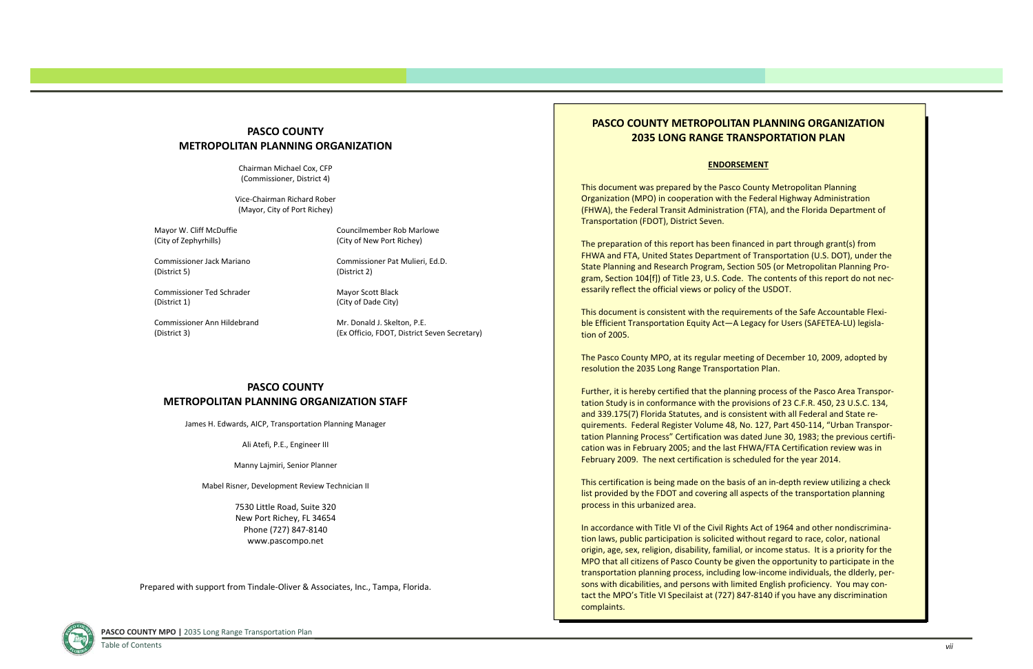# **PASCO COUNTY METROPOLITAN PLANNING ORGANIZATION**

Chairman Michael Cox, CFP (Commissioner, District 4)

Mayor W. Cliff McDuffie Councilmember Rob Marlowe (City of Zephyrhills) (City of New Port Richey)

Vice‐Chairman Richard Rober (Mayor, City of Port Richey)

Mr. Donald J. Skelton, P.E. (District 3) (Ex Officio, FDOT, District Seven Secretary)

Commissioner Pat Mulieri, Ed.D.

Commissioner Jack Mariano(District 5) (District 2)

Mayor Scott Black

Commissioner Ted(District 1) (City of Dade City)

Commissioner Ann

### **PASCO COUNTY METROPOLITAN PLANNING ORGANIZATION STAFF**

James H. Edwards, AICP, Transportation Planning Manager

Ali Atefi, P.E., Engineer III

Manny Lajmiri, Senior Planner

Mabel Risner, Development Review Technician II

7530 Little Road, Suite 320 New Port Richey, FL 34654 Phone (727) 847‐8140 www.pascompo.net

# **PASCO COUNTY METROPOLITAN PLANNING ORGANIZATION 2035 LONG RANGE TRANSPORTATION PLAN**

#### **ENDORSEMENT**

This document was prepared by the Pasco County Metropolitan Planning Organization (MPO) in cooperation with the Federal Highway Administration (FHWA), the Federal Transit Administration (FTA), and the Florida Department of Transportation (FDOT), District Seven.

The preparation of this report has been financed in part through grant(s) from FHWA and FTA, United States Department of Transportation (U.S. DOT), under the State Planning and Research Program, Section 505 (or Metropolitan Planning Pro‐ gram, Section 104[f]) of Title 23, U.S. Code. The contents of this report do not nec‐ essarily reflect the official views or policy of the USDOT.

This document is consistent with the requirements of the Safe Accountable Flexi‐ ble Efficient Transportation Equity Act—A Legacy for Users (SAFETEA‐LU) legisla‐ tion of 2005.

The Pasco County MPO, at its regular meeting of December 10, 2009, adopted by resolution the 2035 Long Range Transportation Plan.

Further, it is hereby certified that the planning process of the Pasco Area Transpor‐ tation Study is in conformance with the provisions of 23 C.F.R. 450, 23 U.S.C. 134, and 339.175(7) Florida Statutes, and is consistent with all Federal and State re‐ quirements. Federal Register Volume 48, No. 127, Part 450‐114, "Urban Transpor‐ tation Planning Process" Certification was dated June 30, 1983; the previous certifi‐ cation was in February 2005; and the last FHWA/FTA Certification review was in February 2009. The next certification is scheduled for the year 2014.

This certification is being made on the basis of an in‐depth review utilizing <sup>a</sup> check list provided by the FDOT and covering all aspects of the transportation planning process in this urbanized area.

In accordance with Title VI of the Civil Rights Act of 1964 and other nondiscrimina‐ tion laws, public participation is solicited without regard to race, color, national origin, age, sex, religion, disability, familial, or income status. It is <sup>a</sup> priority for the MPO that all citizens of Pasco County be given the opportunity to participate in the transportation planning process, including low‐income individuals, the dlderly, per‐ sons with dicabilities, and persons with limited English proficiency. You may con‐ tact the MPO's Title VI Specilaist at (727) 847‐8140 if you have any discrimination complaints.



Prepared with support from Tindale‐Oliver & Associates, Inc., Tampa, Florida.